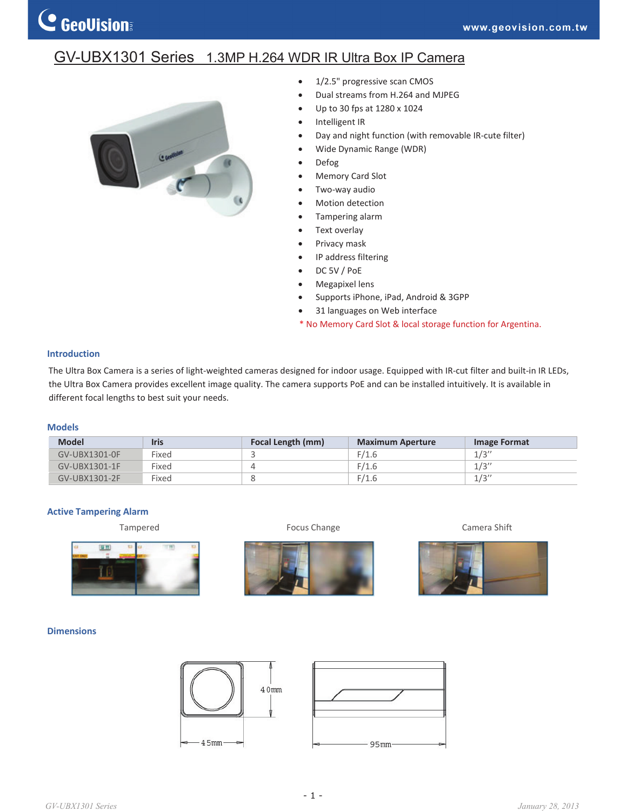# GV-UBX1301 Series 1.3MP H.264 WDR IR Ultra Box IP Camera



- $\bullet$  1/2.5" progressive scan CMOS
- Dual streams from H.264 and MJPEG
- x Up to 30 fps at 1280 x 1024
- Intelligent IR
- Day and night function (with removable IR-cute filter)
- Wide Dynamic Range (WDR)
- Defog
- Memory Card Slot
- Two-way audio
- Motion detection
- Tampering alarm
- Text overlay
- Privacy mask
- IP address filtering
- DC 5V / PoE
- Megapixel lens
- Supports iPhone, iPad, Android & 3GPP
- 31 languages on Web interface
- \* No Memory Card Slot & local storage function for Argentina.

## **Introduction**

The Ultra Box Camera is a series of light-weighted cameras designed for indoor usage. Equipped with IR-cut filter and built-in IR LEDs, the Ultra Box Camera provides excellent image quality. The camera supports PoE and can be installed intuitively. It is available in different focal lengths to best suit your needs.

## **Models**

| <b>Model</b>  | <b>Iris</b> | Focal Length (mm) | <b>Maximum Aperture</b> | Image Format |
|---------------|-------------|-------------------|-------------------------|--------------|
| GV-UBX1301-0F | Fixed       |                   | F/1.6                   | 1/3''        |
| GV-UBX1301-1F | Fixed       |                   | F/1.6                   | 1/3''        |
| GV-UBX1301-2F | Fixed       |                   | F/1.6                   | 1/3''        |

#### **Active Tampering Alarm**









## **Dimensions**





*GV-UBX1301 Series January 28, 2013*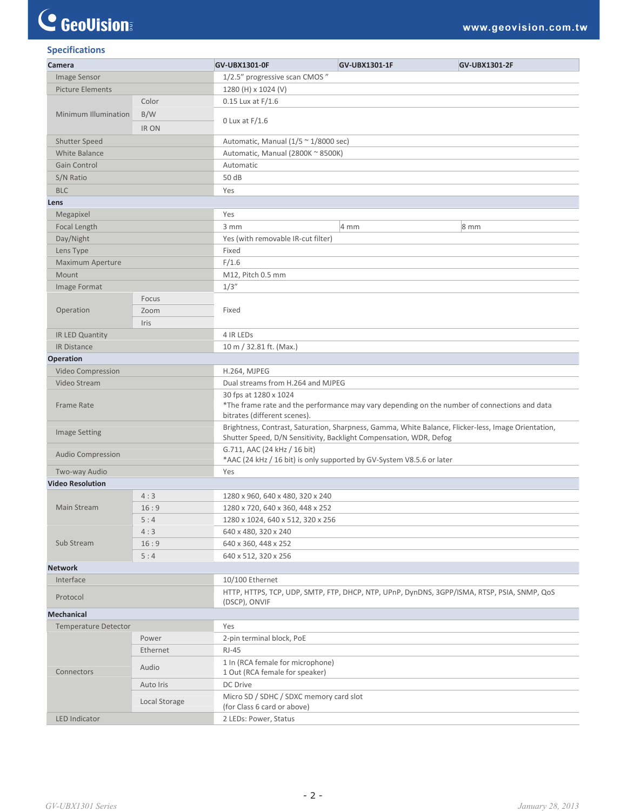# C GeoVision

| <b>Specifications</b>       |               |                                                                                                                                                                           |                |                                                                                             |  |  |
|-----------------------------|---------------|---------------------------------------------------------------------------------------------------------------------------------------------------------------------------|----------------|---------------------------------------------------------------------------------------------|--|--|
| Camera                      |               | GV-UBX1301-0F                                                                                                                                                             | GV-UBX1301-1F  | <b>GV-UBX1301-2F</b>                                                                        |  |  |
| Image Sensor                |               | 1/2.5" progressive scan CMOS"                                                                                                                                             |                |                                                                                             |  |  |
| Picture Elements            |               | 1280 (H) x 1024 (V)                                                                                                                                                       |                |                                                                                             |  |  |
|                             | Color         | $0.15$ Lux at $F/1.6$                                                                                                                                                     |                |                                                                                             |  |  |
| Minimum Illumination        | B/W           | 0 Lux at $F/1.6$                                                                                                                                                          |                |                                                                                             |  |  |
|                             | IR ON         |                                                                                                                                                                           |                |                                                                                             |  |  |
| <b>Shutter Speed</b>        |               | Automatic, Manual (1/5 ~ 1/8000 sec)                                                                                                                                      |                |                                                                                             |  |  |
| White Balance               |               | Automatic, Manual (2800K ~ 8500K)                                                                                                                                         |                |                                                                                             |  |  |
| Gain Control                |               | Automatic                                                                                                                                                                 |                |                                                                                             |  |  |
| S/N Ratio                   |               | 50 dB                                                                                                                                                                     |                |                                                                                             |  |  |
| <b>BLC</b>                  |               | Yes                                                                                                                                                                       |                |                                                                                             |  |  |
| Lens                        |               |                                                                                                                                                                           |                |                                                                                             |  |  |
| Megapixel                   |               | Yes                                                                                                                                                                       |                |                                                                                             |  |  |
| Focal Length                |               | 3 mm                                                                                                                                                                      | $4 \text{ mm}$ | $8 \text{ mm}$                                                                              |  |  |
| Day/Night                   |               | Yes (with removable IR-cut filter)                                                                                                                                        |                |                                                                                             |  |  |
|                             |               |                                                                                                                                                                           |                |                                                                                             |  |  |
| Lens Type                   |               | Fixed                                                                                                                                                                     |                |                                                                                             |  |  |
| Maximum Aperture            |               | F/1.6                                                                                                                                                                     |                |                                                                                             |  |  |
| Mount                       |               | M12, Pitch 0.5 mm                                                                                                                                                         |                |                                                                                             |  |  |
| Image Format                |               | 1/3''                                                                                                                                                                     |                |                                                                                             |  |  |
|                             | Focus         |                                                                                                                                                                           |                |                                                                                             |  |  |
| Operation                   | Zoom          |                                                                                                                                                                           | Fixed          |                                                                                             |  |  |
|                             | Iris          |                                                                                                                                                                           |                |                                                                                             |  |  |
| IR LED Quantity             |               | 4 IR LEDS                                                                                                                                                                 |                |                                                                                             |  |  |
| <b>IR Distance</b>          |               | 10 m / 32.81 ft. (Max.)                                                                                                                                                   |                |                                                                                             |  |  |
| <b>Operation</b>            |               |                                                                                                                                                                           |                |                                                                                             |  |  |
| Video Compression           |               | H.264, MJPEG                                                                                                                                                              |                |                                                                                             |  |  |
| Video Stream                |               | Dual streams from H.264 and MJPEG                                                                                                                                         |                |                                                                                             |  |  |
| <b>Frame Rate</b>           |               | 30 fps at 1280 x 1024<br>*The frame rate and the performance may vary depending on the number of connections and data<br>bitrates (different scenes).                     |                |                                                                                             |  |  |
| <b>Image Setting</b>        |               | Brightness, Contrast, Saturation, Sharpness, Gamma, White Balance, Flicker-less, Image Orientation,<br>Shutter Speed, D/N Sensitivity, Backlight Compensation, WDR, Defog |                |                                                                                             |  |  |
| <b>Audio Compression</b>    |               | G.711, AAC (24 kHz / 16 bit)<br>*AAC (24 kHz / 16 bit) is only supported by GV-System V8.5.6 or later                                                                     |                |                                                                                             |  |  |
| Two-way Audio               |               | Yes                                                                                                                                                                       |                |                                                                                             |  |  |
| <b>Video Resolution</b>     |               |                                                                                                                                                                           |                |                                                                                             |  |  |
|                             | 4:3           | 1280 x 960, 640 x 480, 320 x 240                                                                                                                                          |                |                                                                                             |  |  |
| Main Stream<br>Sub Stream   | 16:9          | 1280 x 720, 640 x 360, 448 x 252                                                                                                                                          |                |                                                                                             |  |  |
|                             | 5:4           | 1280 x 1024, 640 x 512, 320 x 256                                                                                                                                         |                |                                                                                             |  |  |
|                             | 4:3           | 640 x 480, 320 x 240                                                                                                                                                      |                |                                                                                             |  |  |
|                             | 16:9          | 640 x 360, 448 x 252                                                                                                                                                      |                |                                                                                             |  |  |
|                             | 5:4           | 640 x 512, 320 x 256                                                                                                                                                      |                |                                                                                             |  |  |
| <b>Network</b>              |               |                                                                                                                                                                           |                |                                                                                             |  |  |
| Interface                   |               | 10/100 Ethernet                                                                                                                                                           |                |                                                                                             |  |  |
| Protocol                    |               |                                                                                                                                                                           |                | HTTP, HTTPS, TCP, UDP, SMTP, FTP, DHCP, NTP, UPnP, DynDNS, 3GPP/ISMA, RTSP, PSIA, SNMP, QoS |  |  |
|                             |               | (DSCP), ONVIF                                                                                                                                                             |                |                                                                                             |  |  |
| <b>Mechanical</b>           |               |                                                                                                                                                                           |                |                                                                                             |  |  |
| <b>Temperature Detector</b> |               | Yes                                                                                                                                                                       |                |                                                                                             |  |  |
| Connectors                  | Power         | 2-pin terminal block, PoE                                                                                                                                                 |                |                                                                                             |  |  |
|                             | Ethernet      | <b>RJ-45</b>                                                                                                                                                              |                |                                                                                             |  |  |
|                             | Audio         | 1 In (RCA female for microphone)<br>1 Out (RCA female for speaker)                                                                                                        |                |                                                                                             |  |  |
|                             | Auto Iris     | DC Drive                                                                                                                                                                  |                |                                                                                             |  |  |
|                             |               | Micro SD / SDHC / SDXC memory card slot                                                                                                                                   |                |                                                                                             |  |  |
|                             | Local Storage | (for Class 6 card or above)                                                                                                                                               |                |                                                                                             |  |  |
| LED Indicator               |               | 2 LEDs: Power, Status                                                                                                                                                     |                |                                                                                             |  |  |